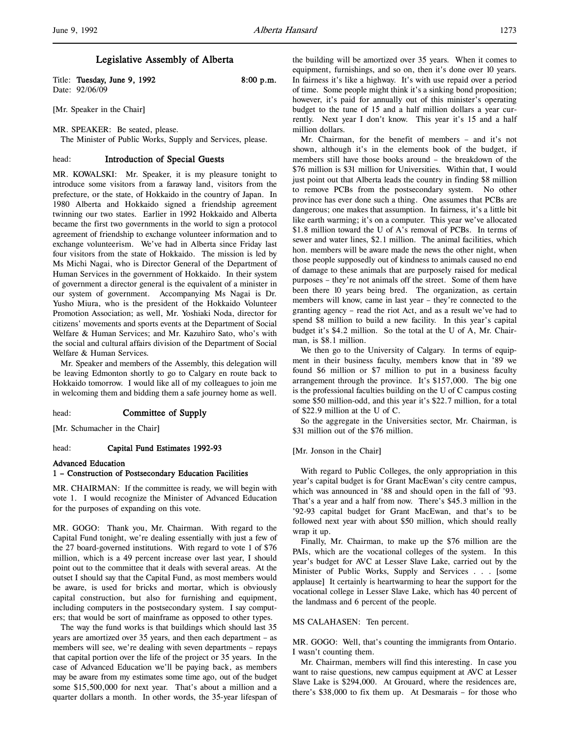## Legislative Assembly of Alberta

Title: Tuesday, June 9, 1992 8:00 p.m. Date: 92/06/09

[Mr. Speaker in the Chair]

MR. SPEAKER: Be seated, please.

The Minister of Public Works, Supply and Services, please.

### head: **Introduction of Special Guests**

MR. KOWALSKI: Mr. Speaker, it is my pleasure tonight to introduce some visitors from a faraway land, visitors from the prefecture, or the state, of Hokkaido in the country of Japan. In 1980 Alberta and Hokkaido signed a friendship agreement twinning our two states. Earlier in 1992 Hokkaido and Alberta became the first two governments in the world to sign a protocol agreement of friendship to exchange volunteer information and to exchange volunteerism. We've had in Alberta since Friday last four visitors from the state of Hokkaido. The mission is led by Ms Michi Nagai, who is Director General of the Department of Human Services in the government of Hokkaido. In their system of government a director general is the equivalent of a minister in our system of government. Accompanying Ms Nagai is Dr. Yusho Miura, who is the president of the Hokkaido Volunteer Promotion Association; as well, Mr. Yoshiaki Noda, director for citizens' movements and sports events at the Department of Social Welfare & Human Services; and Mr. Kazuhiro Sato, who's with the social and cultural affairs division of the Department of Social Welfare & Human Services.

Mr. Speaker and members of the Assembly, this delegation will be leaving Edmonton shortly to go to Calgary en route back to Hokkaido tomorrow. I would like all of my colleagues to join me in welcoming them and bidding them a safe journey home as well.

## head: **Committee of Supply**

[Mr. Schumacher in the Chair]

#### head: Capital Fund Estimates 1992-93

Advanced Education

### 1 – Construction of Postsecondary Education Facilities

MR. CHAIRMAN: If the committee is ready, we will begin with vote 1. I would recognize the Minister of Advanced Education for the purposes of expanding on this vote.

MR. GOGO: Thank you, Mr. Chairman. With regard to the Capital Fund tonight, we're dealing essentially with just a few of the 27 board-governed institutions. With regard to vote 1 of \$76 million, which is a 49 percent increase over last year, I should point out to the committee that it deals with several areas. At the outset I should say that the Capital Fund, as most members would be aware, is used for bricks and mortar, which is obviously capital construction, but also for furnishing and equipment, including computers in the postsecondary system. I say computers; that would be sort of mainframe as opposed to other types.

The way the fund works is that buildings which should last 35 years are amortized over 35 years, and then each department – as members will see, we're dealing with seven departments – repays that capital portion over the life of the project or 35 years. In the case of Advanced Education we'll be paying back, as members may be aware from my estimates some time ago, out of the budget some \$15,500,000 for next year. That's about a million and a quarter dollars a month. In other words, the 35-year lifespan of

the building will be amortized over 35 years. When it comes to equipment, furnishings, and so on, then it's done over 10 years. In fairness it's like a highway. It's with use repaid over a period of time. Some people might think it's a sinking bond proposition; however, it's paid for annually out of this minister's operating budget to the tune of 15 and a half million dollars a year currently. Next year I don't know. This year it's 15 and a half million dollars.

Mr. Chairman, for the benefit of members – and it's not shown, although it's in the elements book of the budget, if members still have those books around – the breakdown of the \$76 million is \$31 million for Universities. Within that, I would just point out that Alberta leads the country in finding \$8 million to remove PCBs from the postsecondary system. No other province has ever done such a thing. One assumes that PCBs are dangerous; one makes that assumption. In fairness, it's a little bit like earth warming; it's on a computer. This year we've allocated \$1.8 million toward the U of A's removal of PCBs. In terms of sewer and water lines, \$2.1 million. The animal facilities, which hon. members will be aware made the news the other night, when those people supposedly out of kindness to animals caused no end of damage to these animals that are purposely raised for medical purposes – they're not animals off the street. Some of them have been there 10 years being bred. The organization, as certain members will know, came in last year – they're connected to the granting agency – read the riot Act, and as a result we've had to spend \$8 million to build a new facility. In this year's capital budget it's \$4.2 million. So the total at the U of A, Mr. Chairman, is \$8.1 million.

We then go to the University of Calgary. In terms of equipment in their business faculty, members know that in '89 we found \$6 million or \$7 million to put in a business faculty arrangement through the province. It's \$157,000. The big one is the professional faculties building on the U of C campus costing some \$50 million-odd, and this year it's \$22.7 million, for a total of \$22.9 million at the U of C.

So the aggregate in the Universities sector, Mr. Chairman, is \$31 million out of the \$76 million.

#### [Mr. Jonson in the Chair]

With regard to Public Colleges, the only appropriation in this year's capital budget is for Grant MacEwan's city centre campus, which was announced in '88 and should open in the fall of '93. That's a year and a half from now. There's \$45.3 million in the '92-93 capital budget for Grant MacEwan, and that's to be followed next year with about \$50 million, which should really wrap it up.

Finally, Mr. Chairman, to make up the \$76 million are the PAIs, which are the vocational colleges of the system. In this year's budget for AVC at Lesser Slave Lake, carried out by the Minister of Public Works, Supply and Services . . . [some applause] It certainly is heartwarming to hear the support for the vocational college in Lesser Slave Lake, which has 40 percent of the landmass and 6 percent of the people.

### MS CALAHASEN: Ten percent.

MR. GOGO: Well, that's counting the immigrants from Ontario. I wasn't counting them.

Mr. Chairman, members will find this interesting. In case you want to raise questions, new campus equipment at AVC at Lesser Slave Lake is \$294,000. At Grouard, where the residences are, there's \$38,000 to fix them up. At Desmarais – for those who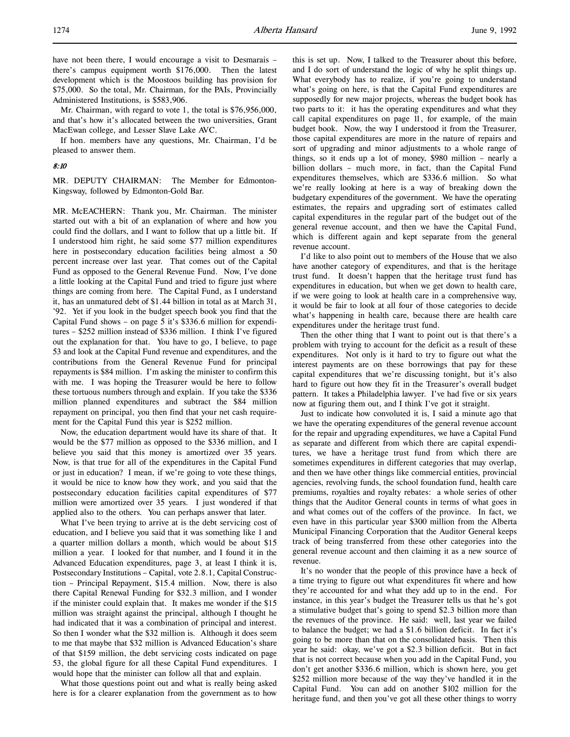have not been there, I would encourage a visit to Desmarais there's campus equipment worth \$176,000. Then the latest development which is the Moostoos building has provision for \$75,000. So the total, Mr. Chairman, for the PAIs, Provincially Administered Institutions, is \$583,906.

Mr. Chairman, with regard to vote 1, the total is \$76,956,000, and that's how it's allocated between the two universities, Grant MacEwan college, and Lesser Slave Lake AVC.

If hon. members have any questions, Mr. Chairman, I'd be pleased to answer them.

## 8:10

MR. DEPUTY CHAIRMAN: The Member for Edmonton-Kingsway, followed by Edmonton-Gold Bar.

MR. McEACHERN: Thank you, Mr. Chairman. The minister started out with a bit of an explanation of where and how you could find the dollars, and I want to follow that up a little bit. If I understood him right, he said some \$77 million expenditures here in postsecondary education facilities being almost a 50 percent increase over last year. That comes out of the Capital Fund as opposed to the General Revenue Fund. Now, I've done a little looking at the Capital Fund and tried to figure just where things are coming from here. The Capital Fund, as I understand it, has an unmatured debt of \$1.44 billion in total as at March 31, '92. Yet if you look in the budget speech book you find that the Capital Fund shows – on page 5 it's \$336.6 million for expenditures – \$252 million instead of \$336 million. I think I've figured out the explanation for that. You have to go, I believe, to page 53 and look at the Capital Fund revenue and expenditures, and the contributions from the General Revenue Fund for principal repayments is \$84 million. I'm asking the minister to confirm this with me. I was hoping the Treasurer would be here to follow these tortuous numbers through and explain. If you take the \$336 million planned expenditures and subtract the \$84 million repayment on principal, you then find that your net cash requirement for the Capital Fund this year is \$252 million.

Now, the education department would have its share of that. It would be the \$77 million as opposed to the \$336 million, and I believe you said that this money is amortized over 35 years. Now, is that true for all of the expenditures in the Capital Fund or just in education? I mean, if we're going to vote these things, it would be nice to know how they work, and you said that the postsecondary education facilities capital expenditures of \$77 million were amortized over 35 years. I just wondered if that applied also to the others. You can perhaps answer that later.

What I've been trying to arrive at is the debt servicing cost of education, and I believe you said that it was something like 1 and a quarter million dollars a month, which would be about \$15 million a year. I looked for that number, and I found it in the Advanced Education expenditures, page 3, at least I think it is, Postsecondary Institutions – Capital, vote 2.8.1, Capital Construction – Principal Repayment, \$15.4 million. Now, there is also there Capital Renewal Funding for \$32.3 million, and I wonder if the minister could explain that. It makes me wonder if the \$15 million was straight against the principal, although I thought he had indicated that it was a combination of principal and interest. So then I wonder what the \$32 million is. Although it does seem to me that maybe that \$32 million is Advanced Education's share of that \$159 million, the debt servicing costs indicated on page 53, the global figure for all these Capital Fund expenditures. I would hope that the minister can follow all that and explain.

What those questions point out and what is really being asked here is for a clearer explanation from the government as to how

this is set up. Now, I talked to the Treasurer about this before, and I do sort of understand the logic of why he split things up. What everybody has to realize, if you're going to understand what's going on here, is that the Capital Fund expenditures are supposedly for new major projects, whereas the budget book has two parts to it: it has the operating expenditures and what they call capital expenditures on page 11, for example, of the main budget book. Now, the way I understood it from the Treasurer, those capital expenditures are more in the nature of repairs and sort of upgrading and minor adjustments to a whole range of things, so it ends up a lot of money, \$980 million – nearly a billion dollars – much more, in fact, than the Capital Fund expenditures themselves, which are \$336.6 million. So what we're really looking at here is a way of breaking down the budgetary expenditures of the government. We have the operating estimates, the repairs and upgrading sort of estimates called capital expenditures in the regular part of the budget out of the general revenue account, and then we have the Capital Fund, which is different again and kept separate from the general revenue account.

I'd like to also point out to members of the House that we also have another category of expenditures, and that is the heritage trust fund. It doesn't happen that the heritage trust fund has expenditures in education, but when we get down to health care, if we were going to look at health care in a comprehensive way, it would be fair to look at all four of those categories to decide what's happening in health care, because there are health care expenditures under the heritage trust fund.

Then the other thing that I want to point out is that there's a problem with trying to account for the deficit as a result of these expenditures. Not only is it hard to try to figure out what the interest payments are on these borrowings that pay for these capital expenditures that we're discussing tonight, but it's also hard to figure out how they fit in the Treasurer's overall budget pattern. It takes a Philadelphia lawyer. I've had five or six years now at figuring them out, and I think I've got it straight.

Just to indicate how convoluted it is, I said a minute ago that we have the operating expenditures of the general revenue account for the repair and upgrading expenditures, we have a Capital Fund as separate and different from which there are capital expenditures, we have a heritage trust fund from which there are sometimes expenditures in different categories that may overlap, and then we have other things like commercial entities, provincial agencies, revolving funds, the school foundation fund, health care premiums, royalties and royalty rebates: a whole series of other things that the Auditor General counts in terms of what goes in and what comes out of the coffers of the province. In fact, we even have in this particular year \$300 million from the Alberta Municipal Financing Corporation that the Auditor General keeps track of being transferred from these other categories into the general revenue account and then claiming it as a new source of revenue.

It's no wonder that the people of this province have a heck of a time trying to figure out what expenditures fit where and how they're accounted for and what they add up to in the end. For instance, in this year's budget the Treasurer tells us that he's got a stimulative budget that's going to spend \$2.3 billion more than the revenues of the province. He said: well, last year we failed to balance the budget; we had a \$1.6 billion deficit. In fact it's going to be more than that on the consolidated basis. Then this year he said: okay, we've got a \$2.3 billion deficit. But in fact that is not correct because when you add in the Capital Fund, you don't get another \$336.6 million, which is shown here, you get \$252 million more because of the way they've handled it in the Capital Fund. You can add on another \$102 million for the heritage fund, and then you've got all these other things to worry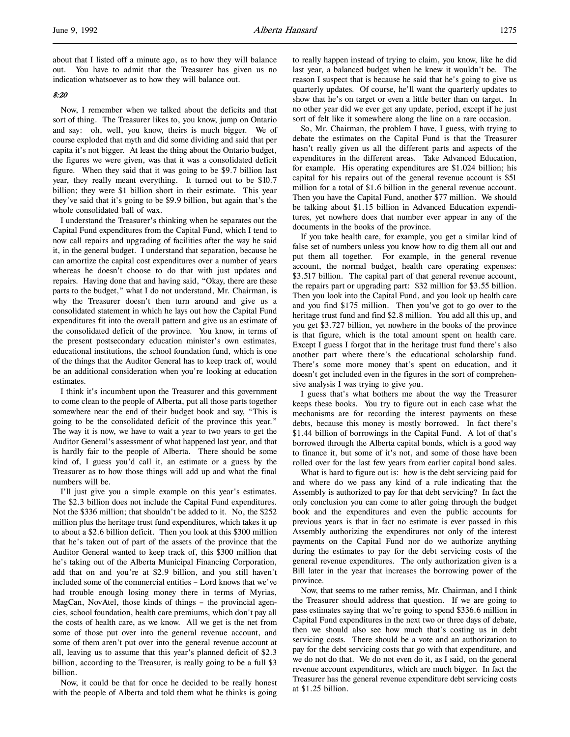about that I listed off a minute ago, as to how they will balance out. You have to admit that the Treasurer has given us no indication whatsoever as to how they will balance out.

#### 8:20

l,

Now, I remember when we talked about the deficits and that sort of thing. The Treasurer likes to, you know, jump on Ontario and say: oh, well, you know, theirs is much bigger. We of course exploded that myth and did some dividing and said that per capita it's not bigger. At least the thing about the Ontario budget, the figures we were given, was that it was a consolidated deficit figure. When they said that it was going to be \$9.7 billion last year, they really meant everything. It turned out to be \$10.7 billion; they were \$1 billion short in their estimate. This year they've said that it's going to be \$9.9 billion, but again that's the whole consolidated ball of wax.

I understand the Treasurer's thinking when he separates out the Capital Fund expenditures from the Capital Fund, which I tend to now call repairs and upgrading of facilities after the way he said it, in the general budget. I understand that separation, because he can amortize the capital cost expenditures over a number of years whereas he doesn't choose to do that with just updates and repairs. Having done that and having said, "Okay, there are these parts to the budget," what I do not understand, Mr. Chairman, is why the Treasurer doesn't then turn around and give us a consolidated statement in which he lays out how the Capital Fund expenditures fit into the overall pattern and give us an estimate of the consolidated deficit of the province. You know, in terms of the present postsecondary education minister's own estimates, educational institutions, the school foundation fund, which is one of the things that the Auditor General has to keep track of, would be an additional consideration when you're looking at education estimates.

I think it's incumbent upon the Treasurer and this government to come clean to the people of Alberta, put all those parts together somewhere near the end of their budget book and say, "This is going to be the consolidated deficit of the province this year." The way it is now, we have to wait a year to two years to get the Auditor General's assessment of what happened last year, and that is hardly fair to the people of Alberta. There should be some kind of, I guess you'd call it, an estimate or a guess by the Treasurer as to how those things will add up and what the final numbers will be.

I'll just give you a simple example on this year's estimates. The \$2.3 billion does not include the Capital Fund expenditures. Not the \$336 million; that shouldn't be added to it. No, the \$252 million plus the heritage trust fund expenditures, which takes it up to about a \$2.6 billion deficit. Then you look at this \$300 million that he's taken out of part of the assets of the province that the Auditor General wanted to keep track of, this \$300 million that he's taking out of the Alberta Municipal Financing Corporation, add that on and you're at \$2.9 billion, and you still haven't included some of the commercial entities – Lord knows that we've had trouble enough losing money there in terms of Myrias, MagCan, NovAtel, those kinds of things – the provincial agencies, school foundation, health care premiums, which don't pay all the costs of health care, as we know. All we get is the net from some of those put over into the general revenue account, and some of them aren't put over into the general revenue account at all, leaving us to assume that this year's planned deficit of \$2.3 billion, according to the Treasurer, is really going to be a full \$3 billion.

Now, it could be that for once he decided to be really honest with the people of Alberta and told them what he thinks is going

to really happen instead of trying to claim, you know, like he did last year, a balanced budget when he knew it wouldn't be. The reason I suspect that is because he said that he's going to give us quarterly updates. Of course, he'll want the quarterly updates to show that he's on target or even a little better than on target. In no other year did we ever get any update, period, except if he just sort of felt like it somewhere along the line on a rare occasion.

So, Mr. Chairman, the problem I have, I guess, with trying to debate the estimates on the Capital Fund is that the Treasurer hasn't really given us all the different parts and aspects of the expenditures in the different areas. Take Advanced Education, for example. His operating expenditures are \$1.024 billion; his capital for his repairs out of the general revenue account is \$51 million for a total of \$1.6 billion in the general revenue account. Then you have the Capital Fund, another \$77 million. We should be talking about \$1.15 billion in Advanced Education expenditures, yet nowhere does that number ever appear in any of the documents in the books of the province.

If you take health care, for example, you get a similar kind of false set of numbers unless you know how to dig them all out and put them all together. For example, in the general revenue account, the normal budget, health care operating expenses: \$3.517 billion. The capital part of that general revenue account, the repairs part or upgrading part: \$32 million for \$3.55 billion. Then you look into the Capital Fund, and you look up health care and you find \$175 million. Then you've got to go over to the heritage trust fund and find \$2.8 million. You add all this up, and you get \$3.727 billion, yet nowhere in the books of the province is that figure, which is the total amount spent on health care. Except I guess I forgot that in the heritage trust fund there's also another part where there's the educational scholarship fund. There's some more money that's spent on education, and it doesn't get included even in the figures in the sort of comprehensive analysis I was trying to give you.

I guess that's what bothers me about the way the Treasurer keeps these books. You try to figure out in each case what the mechanisms are for recording the interest payments on these debts, because this money is mostly borrowed. In fact there's \$1.44 billion of borrowings in the Capital Fund. A lot of that's borrowed through the Alberta capital bonds, which is a good way to finance it, but some of it's not, and some of those have been rolled over for the last few years from earlier capital bond sales.

What is hard to figure out is: how is the debt servicing paid for and where do we pass any kind of a rule indicating that the Assembly is authorized to pay for that debt servicing? In fact the only conclusion you can come to after going through the budget book and the expenditures and even the public accounts for previous years is that in fact no estimate is ever passed in this Assembly authorizing the expenditures not only of the interest payments on the Capital Fund nor do we authorize anything during the estimates to pay for the debt servicing costs of the general revenue expenditures. The only authorization given is a Bill later in the year that increases the borrowing power of the province.

Now, that seems to me rather remiss, Mr. Chairman, and I think the Treasurer should address that question. If we are going to pass estimates saying that we're going to spend \$336.6 million in Capital Fund expenditures in the next two or three days of debate, then we should also see how much that's costing us in debt servicing costs. There should be a vote and an authorization to pay for the debt servicing costs that go with that expenditure, and we do not do that. We do not even do it, as I said, on the general revenue account expenditures, which are much bigger. In fact the Treasurer has the general revenue expenditure debt servicing costs at \$1.25 billion.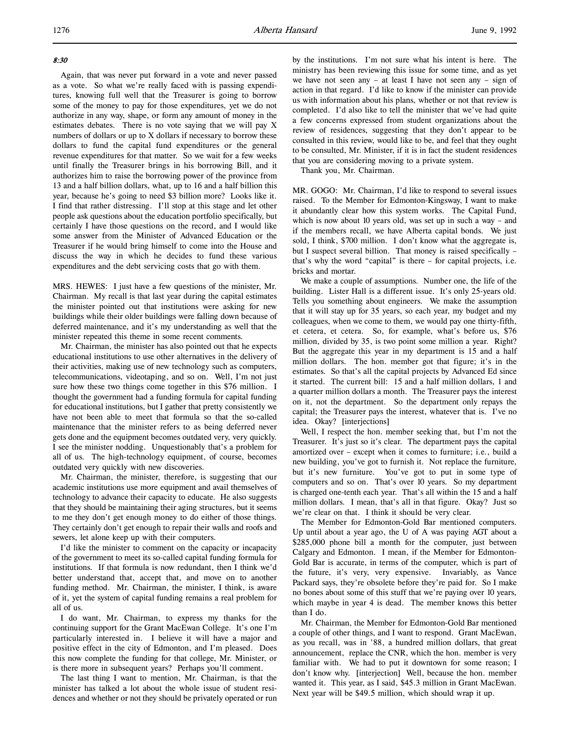## 8:30

Again, that was never put forward in a vote and never passed as a vote. So what we're really faced with is passing expenditures, knowing full well that the Treasurer is going to borrow some of the money to pay for those expenditures, yet we do not authorize in any way, shape, or form any amount of money in the estimates debates. There is no vote saying that we will pay X numbers of dollars or up to X dollars if necessary to borrow these dollars to fund the capital fund expenditures or the general revenue expenditures for that matter. So we wait for a few weeks until finally the Treasurer brings in his borrowing Bill, and it authorizes him to raise the borrowing power of the province from 13 and a half billion dollars, what, up to 16 and a half billion this year, because he's going to need \$3 billion more? Looks like it. I find that rather distressing. I'll stop at this stage and let other people ask questions about the education portfolio specifically, but certainly I have those questions on the record, and I would like some answer from the Minister of Advanced Education or the Treasurer if he would bring himself to come into the House and discuss the way in which he decides to fund these various expenditures and the debt servicing costs that go with them.

MRS. HEWES: I just have a few questions of the minister, Mr. Chairman. My recall is that last year during the capital estimates the minister pointed out that institutions were asking for new buildings while their older buildings were falling down because of deferred maintenance, and it's my understanding as well that the minister repeated this theme in some recent comments.

Mr. Chairman, the minister has also pointed out that he expects educational institutions to use other alternatives in the delivery of their activities, making use of new technology such as computers, telecommunications, videotaping, and so on. Well, I'm not just sure how these two things come together in this \$76 million. I thought the government had a funding formula for capital funding for educational institutions, but I gather that pretty consistently we have not been able to meet that formula so that the so-called maintenance that the minister refers to as being deferred never gets done and the equipment becomes outdated very, very quickly. I see the minister nodding. Unquestionably that's a problem for all of us. The high-technology equipment, of course, becomes outdated very quickly with new discoveries.

Mr. Chairman, the minister, therefore, is suggesting that our academic institutions use more equipment and avail themselves of technology to advance their capacity to educate. He also suggests that they should be maintaining their aging structures, but it seems to me they don't get enough money to do either of those things. They certainly don't get enough to repair their walls and roofs and sewers, let alone keep up with their computers.

I'd like the minister to comment on the capacity or incapacity of the government to meet its so-called capital funding formula for institutions. If that formula is now redundant, then I think we'd better understand that, accept that, and move on to another funding method. Mr. Chairman, the minister, I think, is aware of it, yet the system of capital funding remains a real problem for all of us.

I do want, Mr. Chairman, to express my thanks for the continuing support for the Grant MacEwan College. It's one I'm particularly interested in. I believe it will have a major and positive effect in the city of Edmonton, and I'm pleased. Does this now complete the funding for that college, Mr. Minister, or is there more in subsequent years? Perhaps you'll comment.

The last thing I want to mention, Mr. Chairman, is that the minister has talked a lot about the whole issue of student residences and whether or not they should be privately operated or run by the institutions. I'm not sure what his intent is here. The ministry has been reviewing this issue for some time, and as yet we have not seen any – at least I have not seen any – sign of action in that regard. I'd like to know if the minister can provide us with information about his plans, whether or not that review is completed. I'd also like to tell the minister that we've had quite a few concerns expressed from student organizations about the review of residences, suggesting that they don't appear to be consulted in this review, would like to be, and feel that they ought to be consulted, Mr. Minister, if it is in fact the student residences that you are considering moving to a private system.

Thank you, Mr. Chairman.

MR. GOGO: Mr. Chairman, I'd like to respond to several issues raised. To the Member for Edmonton-Kingsway, I want to make it abundantly clear how this system works. The Capital Fund, which is now about 10 years old, was set up in such a way – and if the members recall, we have Alberta capital bonds. We just sold, I think, \$700 million. I don't know what the aggregate is, but I suspect several billion. That money is raised specifically – that's why the word "capital" is there – for capital projects, i.e. bricks and mortar.

We make a couple of assumptions. Number one, the life of the building. Lister Hall is a different issue. It's only 25-years old. Tells you something about engineers. We make the assumption that it will stay up for 35 years, so each year, my budget and my colleagues, when we come to them, we would pay one thirty-fifth, et cetera, et cetera. So, for example, what's before us, \$76 million, divided by 35, is two point some million a year. Right? But the aggregate this year in my department is 15 and a half million dollars. The hon. member got that figure; it's in the estimates. So that's all the capital projects by Advanced Ed since it started. The current bill: 15 and a half million dollars, 1 and a quarter million dollars a month. The Treasurer pays the interest on it, not the department. So the department only repays the capital; the Treasurer pays the interest, whatever that is. I've no idea. Okay? [interjections]

Well, I respect the hon. member seeking that, but I'm not the Treasurer. It's just so it's clear. The department pays the capital amortized over – except when it comes to furniture; i.e., build a new building, you've got to furnish it. Not replace the furniture, but it's new furniture. You've got to put in some type of computers and so on. That's over 10 years. So my department is charged one-tenth each year. That's all within the 15 and a half million dollars. I mean, that's all in that figure. Okay? Just so we're clear on that. I think it should be very clear.

The Member for Edmonton-Gold Bar mentioned computers. Up until about a year ago, the U of A was paying AGT about a \$285,000 phone bill a month for the computer, just between Calgary and Edmonton. I mean, if the Member for Edmonton-Gold Bar is accurate, in terms of the computer, which is part of the future, it's very, very expensive. Invariably, as Vance Packard says, they're obsolete before they're paid for. So I make no bones about some of this stuff that we're paying over 10 years, which maybe in year 4 is dead. The member knows this better than I do.

Mr. Chairman, the Member for Edmonton-Gold Bar mentioned a couple of other things, and I want to respond. Grant MacEwan, as you recall, was in '88, a hundred million dollars, that great announcement, replace the CNR, which the hon. member is very familiar with. We had to put it downtown for some reason; I don't know why. [interjection] Well, because the hon. member wanted it. This year, as I said, \$45.3 million in Grant MacEwan. Next year will be \$49.5 million, which should wrap it up.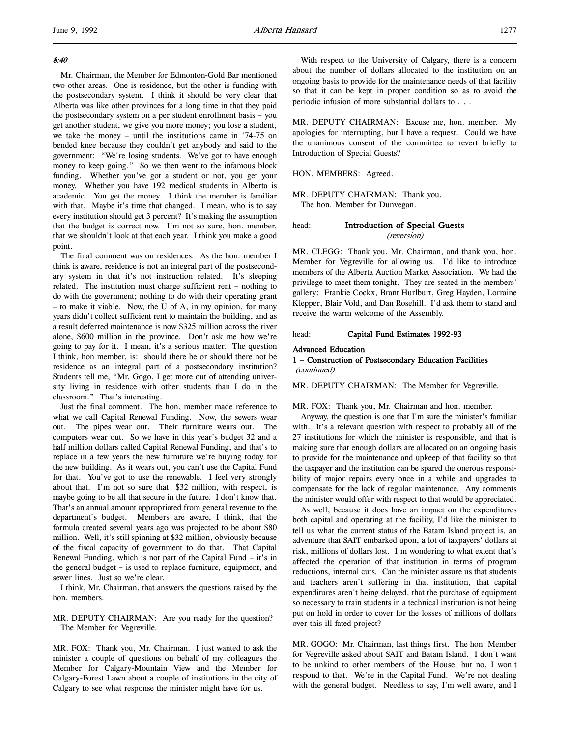## 8:40

l,

Mr. Chairman, the Member for Edmonton-Gold Bar mentioned two other areas. One is residence, but the other is funding with the postsecondary system. I think it should be very clear that Alberta was like other provinces for a long time in that they paid the postsecondary system on a per student enrollment basis – you get another student, we give you more money; you lose a student, we take the money – until the institutions came in '74-75 on bended knee because they couldn't get anybody and said to the government: "We're losing students. We've got to have enough money to keep going." So we then went to the infamous block funding. Whether you've got a student or not, you get your money. Whether you have 192 medical students in Alberta is academic. You get the money. I think the member is familiar with that. Maybe it's time that changed. I mean, who is to say every institution should get 3 percent? It's making the assumption that the budget is correct now. I'm not so sure, hon. member, that we shouldn't look at that each year. I think you make a good point.

The final comment was on residences. As the hon. member I think is aware, residence is not an integral part of the postsecondary system in that it's not instruction related. It's sleeping related. The institution must charge sufficient rent – nothing to do with the government; nothing to do with their operating grant – to make it viable. Now, the U of A, in my opinion, for many years didn't collect sufficient rent to maintain the building, and as a result deferred maintenance is now \$325 million across the river alone, \$600 million in the province. Don't ask me how we're going to pay for it. I mean, it's a serious matter. The question I think, hon member, is: should there be or should there not be residence as an integral part of a postsecondary institution? Students tell me, "Mr. Gogo, I get more out of attending university living in residence with other students than I do in the classroom." That's interesting.

Just the final comment. The hon. member made reference to what we call Capital Renewal Funding. Now, the sewers wear out. The pipes wear out. Their furniture wears out. The computers wear out. So we have in this year's budget 32 and a half million dollars called Capital Renewal Funding, and that's to replace in a few years the new furniture we're buying today for the new building. As it wears out, you can't use the Capital Fund for that. You've got to use the renewable. I feel very strongly about that. I'm not so sure that \$32 million, with respect, is maybe going to be all that secure in the future. I don't know that. That's an annual amount appropriated from general revenue to the department's budget. Members are aware, I think, that the formula created several years ago was projected to be about \$80 million. Well, it's still spinning at \$32 million, obviously because of the fiscal capacity of government to do that. That Capital Renewal Funding, which is not part of the Capital Fund – it's in the general budget – is used to replace furniture, equipment, and sewer lines. Just so we're clear.

I think, Mr. Chairman, that answers the questions raised by the hon. members.

MR. DEPUTY CHAIRMAN: Are you ready for the question? The Member for Vegreville.

MR. FOX: Thank you, Mr. Chairman. I just wanted to ask the minister a couple of questions on behalf of my colleagues the Member for Calgary-Mountain View and the Member for Calgary-Forest Lawn about a couple of institutions in the city of Calgary to see what response the minister might have for us.

With respect to the University of Calgary, there is a concern about the number of dollars allocated to the institution on an ongoing basis to provide for the maintenance needs of that facility so that it can be kept in proper condition so as to avoid the periodic infusion of more substantial dollars to . . .

MR. DEPUTY CHAIRMAN: Excuse me, hon. member. My apologies for interrupting, but I have a request. Could we have the unanimous consent of the committee to revert briefly to Introduction of Special Guests?

HON. MEMBERS: Agreed.

MR. DEPUTY CHAIRMAN: Thank you. The hon. Member for Dunvegan.

# head: Introduction of Special Guests (reversion)

MR. CLEGG: Thank you, Mr. Chairman, and thank you, hon. Member for Vegreville for allowing us. I'd like to introduce members of the Alberta Auction Market Association. We had the privilege to meet them tonight. They are seated in the members' gallery: Frankie Cockx, Brant Hurlburt, Greg Hayden, Lorraine Klepper, Blair Vold, and Dan Rosehill. I'd ask them to stand and receive the warm welcome of the Assembly.

### head: Capital Fund Estimates 1992-93

### Advanced Education

### 1 – Construction of Postsecondary Education Facilities (continued)

MR. DEPUTY CHAIRMAN: The Member for Vegreville.

MR. FOX: Thank you, Mr. Chairman and hon. member.

Anyway, the question is one that I'm sure the minister's familiar with. It's a relevant question with respect to probably all of the 27 institutions for which the minister is responsible, and that is making sure that enough dollars are allocated on an ongoing basis to provide for the maintenance and upkeep of that facility so that the taxpayer and the institution can be spared the onerous responsibility of major repairs every once in a while and upgrades to compensate for the lack of regular maintenance. Any comments the minister would offer with respect to that would be appreciated.

As well, because it does have an impact on the expenditures both capital and operating at the facility, I'd like the minister to tell us what the current status of the Batam Island project is, an adventure that SAIT embarked upon, a lot of taxpayers' dollars at risk, millions of dollars lost. I'm wondering to what extent that's affected the operation of that institution in terms of program reductions, internal cuts. Can the minister assure us that students and teachers aren't suffering in that institution, that capital expenditures aren't being delayed, that the purchase of equipment so necessary to train students in a technical institution is not being put on hold in order to cover for the losses of millions of dollars over this ill-fated project?

MR. GOGO: Mr. Chairman, last things first. The hon. Member for Vegreville asked about SAIT and Batam Island. I don't want to be unkind to other members of the House, but no, I won't respond to that. We're in the Capital Fund. We're not dealing with the general budget. Needless to say, I'm well aware, and I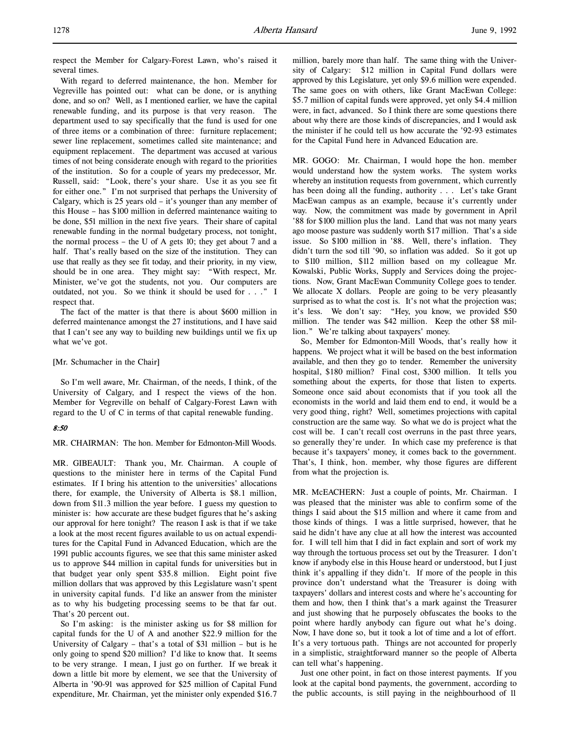respect the Member for Calgary-Forest Lawn, who's raised it several times.

With regard to deferred maintenance, the hon. Member for Vegreville has pointed out: what can be done, or is anything done, and so on? Well, as I mentioned earlier, we have the capital renewable funding, and its purpose is that very reason. The department used to say specifically that the fund is used for one of three items or a combination of three: furniture replacement; sewer line replacement, sometimes called site maintenance; and equipment replacement. The department was accused at various times of not being considerate enough with regard to the priorities of the institution. So for a couple of years my predecessor, Mr. Russell, said: "Look, there's your share. Use it as you see fit for either one." I'm not surprised that perhaps the University of Calgary, which is 25 years old – it's younger than any member of this House – has \$100 million in deferred maintenance waiting to be done, \$51 million in the next five years. Their share of capital renewable funding in the normal budgetary process, not tonight, the normal process – the U of A gets 10; they get about 7 and a half. That's really based on the size of the institution. They can use that really as they see fit today, and their priority, in my view, should be in one area. They might say: "With respect, Mr. Minister, we've got the students, not you. Our computers are outdated, not you. So we think it should be used for . . ." I respect that.

The fact of the matter is that there is about \$600 million in deferred maintenance amongst the 27 institutions, and I have said that I can't see any way to building new buildings until we fix up what we've got.

### [Mr. Schumacher in the Chair]

So I'm well aware, Mr. Chairman, of the needs, I think, of the University of Calgary, and I respect the views of the hon. Member for Vegreville on behalf of Calgary-Forest Lawn with regard to the U of C in terms of that capital renewable funding.

### 8:50

#### MR. CHAIRMAN: The hon. Member for Edmonton-Mill Woods.

MR. GIBEAULT: Thank you, Mr. Chairman. A couple of questions to the minister here in terms of the Capital Fund estimates. If I bring his attention to the universities' allocations there, for example, the University of Alberta is \$8.1 million, down from \$11.3 million the year before. I guess my question to minister is: how accurate are these budget figures that he's asking our approval for here tonight? The reason I ask is that if we take a look at the most recent figures available to us on actual expenditures for the Capital Fund in Advanced Education, which are the 1991 public accounts figures, we see that this same minister asked us to approve \$44 million in capital funds for universities but in that budget year only spent \$35.8 million. Eight point five million dollars that was approved by this Legislature wasn't spent in university capital funds. I'd like an answer from the minister as to why his budgeting processing seems to be that far out. That's 20 percent out.

So I'm asking: is the minister asking us for \$8 million for capital funds for the U of A and another \$22.9 million for the University of Calgary – that's a total of \$31 million – but is he only going to spend \$20 million? I'd like to know that. It seems to be very strange. I mean, I just go on further. If we break it down a little bit more by element, we see that the University of Alberta in '90-91 was approved for \$25 million of Capital Fund expenditure, Mr. Chairman, yet the minister only expended \$16.7

million, barely more than half. The same thing with the University of Calgary: \$12 million in Capital Fund dollars were approved by this Legislature, yet only \$9.6 million were expended. The same goes on with others, like Grant MacEwan College: \$5.7 million of capital funds were approved, yet only \$4.4 million were, in fact, advanced. So I think there are some questions there about why there are those kinds of discrepancies, and I would ask the minister if he could tell us how accurate the '92-93 estimates for the Capital Fund here in Advanced Education are.

MR. GOGO: Mr. Chairman, I would hope the hon. member would understand how the system works. The system works whereby an institution requests from government, which currently has been doing all the funding, authority . . . Let's take Grant MacEwan campus as an example, because it's currently under way. Now, the commitment was made by government in April '88 for \$100 million plus the land. Land that was not many years ago moose pasture was suddenly worth \$17 million. That's a side issue. So \$100 million in '88. Well, there's inflation. They didn't turn the sod till '90, so inflation was added. So it got up to \$110 million, \$112 million based on my colleague Mr. Kowalski, Public Works, Supply and Services doing the projections. Now, Grant MacEwan Community College goes to tender. We allocate X dollars. People are going to be very pleasantly surprised as to what the cost is. It's not what the projection was; it's less. We don't say: "Hey, you know, we provided \$50 million. The tender was \$42 million. Keep the other \$8 million." We're talking about taxpayers' money.

So, Member for Edmonton-Mill Woods, that's really how it happens. We project what it will be based on the best information available, and then they go to tender. Remember the university hospital, \$180 million? Final cost, \$300 million. It tells you something about the experts, for those that listen to experts. Someone once said about economists that if you took all the economists in the world and laid them end to end, it would be a very good thing, right? Well, sometimes projections with capital construction are the same way. So what we do is project what the cost will be. I can't recall cost overruns in the past three years, so generally they're under. In which case my preference is that because it's taxpayers' money, it comes back to the government. That's, I think, hon. member, why those figures are different from what the projection is.

MR. McEACHERN: Just a couple of points, Mr. Chairman. I was pleased that the minister was able to confirm some of the things I said about the \$15 million and where it came from and those kinds of things. I was a little surprised, however, that he said he didn't have any clue at all how the interest was accounted for. I will tell him that I did in fact explain and sort of work my way through the tortuous process set out by the Treasurer. I don't know if anybody else in this House heard or understood, but I just think it's appalling if they didn't. If more of the people in this province don't understand what the Treasurer is doing with taxpayers' dollars and interest costs and where he's accounting for them and how, then I think that's a mark against the Treasurer and just showing that he purposely obfuscates the books to the point where hardly anybody can figure out what he's doing. Now, I have done so, but it took a lot of time and a lot of effort. It's a very tortuous path. Things are not accounted for properly in a simplistic, straightforward manner so the people of Alberta can tell what's happening.

Just one other point, in fact on those interest payments. If you look at the capital bond payments, the government, according to the public accounts, is still paying in the neighbourhood of 11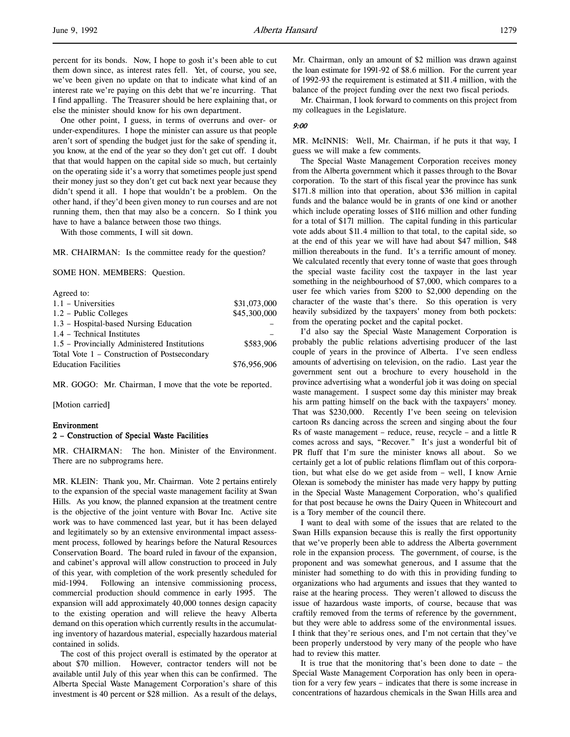percent for its bonds. Now, I hope to gosh it's been able to cut them down since, as interest rates fell. Yet, of course, you see, we've been given no update on that to indicate what kind of an interest rate we're paying on this debt that we're incurring. That I find appalling. The Treasurer should be here explaining that, or else the minister should know for his own department.

One other point, I guess, in terms of overruns and over- or under-expenditures. I hope the minister can assure us that people aren't sort of spending the budget just for the sake of spending it, you know, at the end of the year so they don't get cut off. I doubt that that would happen on the capital side so much, but certainly on the operating side it's a worry that sometimes people just spend their money just so they don't get cut back next year because they didn't spend it all. I hope that wouldn't be a problem. On the other hand, if they'd been given money to run courses and are not running them, then that may also be a concern. So I think you have to have a balance between those two things.

With those comments, I will sit down.

MR. CHAIRMAN: Is the committee ready for the question?

SOME HON. MEMBERS: Question.

| Agreed to:                                   |              |
|----------------------------------------------|--------------|
| $1.1 -$ Universities                         | \$31,073,000 |
| $1.2$ – Public Colleges                      | \$45,300,000 |
| 1.3 - Hospital-based Nursing Education       |              |
| 1.4 - Technical Institutes                   |              |
| 1.5 - Provincially Administered Institutions | \$583,906    |
| Total Vote 1 – Construction of Postsecondary |              |
| <b>Education Facilities</b>                  | \$76,956,906 |
|                                              |              |

MR. GOGO: Mr. Chairman, I move that the vote be reported.

[Motion carried]

### Environment

### 2 – Construction of Special Waste Facilities

MR. CHAIRMAN: The hon. Minister of the Environment. There are no subprograms here.

MR. KLEIN: Thank you, Mr. Chairman. Vote 2 pertains entirely to the expansion of the special waste management facility at Swan Hills. As you know, the planned expansion at the treatment centre is the objective of the joint venture with Bovar Inc. Active site work was to have commenced last year, but it has been delayed and legitimately so by an extensive environmental impact assessment process, followed by hearings before the Natural Resources Conservation Board. The board ruled in favour of the expansion, and cabinet's approval will allow construction to proceed in July of this year, with completion of the work presently scheduled for mid-1994. Following an intensive commissioning process, commercial production should commence in early 1995. The expansion will add approximately 40,000 tonnes design capacity to the existing operation and will relieve the heavy Alberta demand on this operation which currently results in the accumulating inventory of hazardous material, especially hazardous material contained in solids.

The cost of this project overall is estimated by the operator at about \$70 million. However, contractor tenders will not be available until July of this year when this can be confirmed. The Alberta Special Waste Management Corporation's share of this investment is 40 percent or \$28 million. As a result of the delays,

Mr. Chairman, only an amount of \$2 million was drawn against the loan estimate for 1991-92 of \$8.6 million. For the current year of 1992-93 the requirement is estimated at \$11.4 million, with the balance of the project funding over the next two fiscal periods.

Mr. Chairman, I look forward to comments on this project from my colleagues in the Legislature.

#### 9:00

MR. McINNIS: Well, Mr. Chairman, if he puts it that way, I guess we will make a few comments.

The Special Waste Management Corporation receives money from the Alberta government which it passes through to the Bovar corporation. To the start of this fiscal year the province has sunk \$171.8 million into that operation, about \$36 million in capital funds and the balance would be in grants of one kind or another which include operating losses of \$116 million and other funding for a total of \$171 million. The capital funding in this particular vote adds about \$11.4 million to that total, to the capital side, so at the end of this year we will have had about \$47 million, \$48 million thereabouts in the fund. It's a terrific amount of money. We calculated recently that every tonne of waste that goes through the special waste facility cost the taxpayer in the last year something in the neighbourhood of \$7,000, which compares to a user fee which varies from \$200 to \$2,000 depending on the character of the waste that's there. So this operation is very heavily subsidized by the taxpayers' money from both pockets: from the operating pocket and the capital pocket.

I'd also say the Special Waste Management Corporation is probably the public relations advertising producer of the last couple of years in the province of Alberta. I've seen endless amounts of advertising on television, on the radio. Last year the government sent out a brochure to every household in the province advertising what a wonderful job it was doing on special waste management. I suspect some day this minister may break his arm patting himself on the back with the taxpayers' money. That was \$230,000. Recently I've been seeing on television cartoon Rs dancing across the screen and singing about the four Rs of waste management – reduce, reuse, recycle – and a little R comes across and says, "Recover." It's just a wonderful bit of PR fluff that I'm sure the minister knows all about. So we certainly get a lot of public relations flimflam out of this corporation, but what else do we get aside from – well, I know Arnie Olexan is somebody the minister has made very happy by putting in the Special Waste Management Corporation, who's qualified for that post because he owns the Dairy Queen in Whitecourt and is a Tory member of the council there.

I want to deal with some of the issues that are related to the Swan Hills expansion because this is really the first opportunity that we've properly been able to address the Alberta government role in the expansion process. The government, of course, is the proponent and was somewhat generous, and I assume that the minister had something to do with this in providing funding to organizations who had arguments and issues that they wanted to raise at the hearing process. They weren't allowed to discuss the issue of hazardous waste imports, of course, because that was craftily removed from the terms of reference by the government, but they were able to address some of the environmental issues. I think that they're serious ones, and I'm not certain that they've been properly understood by very many of the people who have had to review this matter.

It is true that the monitoring that's been done to date – the Special Waste Management Corporation has only been in operation for a very few years – indicates that there is some increase in concentrations of hazardous chemicals in the Swan Hills area and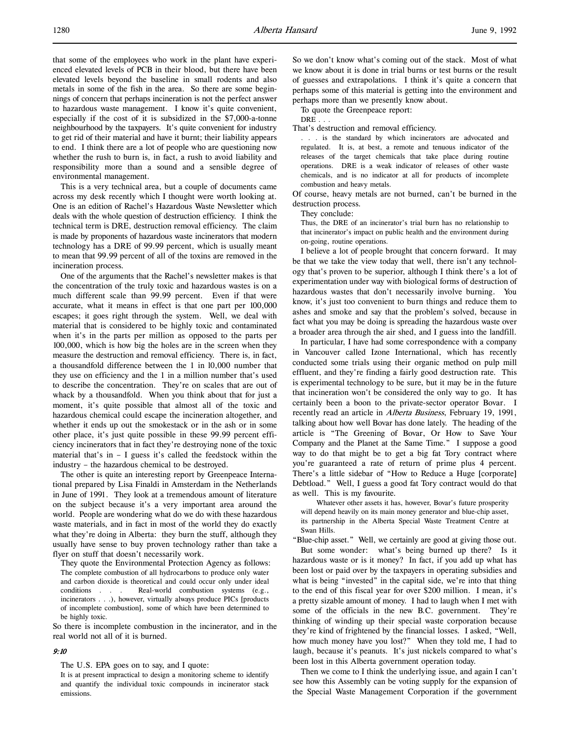that some of the employees who work in the plant have experienced elevated levels of PCB in their blood, but there have been elevated levels beyond the baseline in small rodents and also metals in some of the fish in the area. So there are some beginnings of concern that perhaps incineration is not the perfect answer to hazardous waste management. I know it's quite convenient, especially if the cost of it is subsidized in the \$7,000-a-tonne neighbourhood by the taxpayers. It's quite convenient for industry to get rid of their material and have it burnt; their liability appears to end. I think there are a lot of people who are questioning now whether the rush to burn is, in fact, a rush to avoid liability and responsibility more than a sound and a sensible degree of environmental management.

This is a very technical area, but a couple of documents came across my desk recently which I thought were worth looking at. One is an edition of Rachel's Hazardous Waste Newsletter which deals with the whole question of destruction efficiency. I think the technical term is DRE, destruction removal efficiency. The claim is made by proponents of hazardous waste incinerators that modern technology has a DRE of 99.99 percent, which is usually meant to mean that 99.99 percent of all of the toxins are removed in the incineration process.

One of the arguments that the Rachel's newsletter makes is that the concentration of the truly toxic and hazardous wastes is on a much different scale than 99.99 percent. Even if that were accurate, what it means in effect is that one part per 100,000 escapes; it goes right through the system. Well, we deal with material that is considered to be highly toxic and contaminated when it's in the parts per million as opposed to the parts per 100,000, which is how big the holes are in the screen when they measure the destruction and removal efficiency. There is, in fact, a thousandfold difference between the 1 in l0,000 number that they use on efficiency and the 1 in a million number that's used to describe the concentration. They're on scales that are out of whack by a thousandfold. When you think about that for just a moment, it's quite possible that almost all of the toxic and hazardous chemical could escape the incineration altogether, and whether it ends up out the smokestack or in the ash or in some other place, it's just quite possible in these 99.99 percent efficiency incinerators that in fact they're destroying none of the toxic material that's in – I guess it's called the feedstock within the industry – the hazardous chemical to be destroyed.

The other is quite an interesting report by Greenpeace International prepared by Lisa Finaldi in Amsterdam in the Netherlands in June of 1991. They look at a tremendous amount of literature on the subject because it's a very important area around the world. People are wondering what do we do with these hazardous waste materials, and in fact in most of the world they do exactly what they're doing in Alberta: they burn the stuff, although they usually have sense to buy proven technology rather than take a flyer on stuff that doesn't necessarily work.

They quote the Environmental Protection Agency as follows: The complete combustion of all hydrocarbons to produce only water and carbon dioxide is theoretical and could occur only under ideal conditions . . . Real-world combustion systems (e.g., incinerators . . .), however, virtually always produce PICs [products of incomplete combustion], some of which have been determined to be highly toxic.

So there is incomplete combustion in the incinerator, and in the real world not all of it is burned.

#### 9:10

The U.S. EPA goes on to say, and I quote:

It is at present impractical to design a monitoring scheme to identify and quantify the individual toxic compounds in incinerator stack emissions.

So we don't know what's coming out of the stack. Most of what we know about it is done in trial burns or test burns or the result of guesses and extrapolations. I think it's quite a concern that perhaps some of this material is getting into the environment and perhaps more than we presently know about.

To quote the Greenpeace report:

DRE . . . That's destruction and removal efficiency.

. . . is the standard by which incinerators are advocated and regulated. It is, at best, a remote and tenuous indicator of the releases of the target chemicals that take place during routine operations. DRE is a weak indicator of releases of other waste chemicals, and is no indicator at all for products of incomplete combustion and heavy metals.

Of course, heavy metals are not burned, can't be burned in the destruction process.

They conclude:

Thus, the DRE of an incinerator's trial burn has no relationship to that incinerator's impact on public health and the environment during on-going, routine operations.

I believe a lot of people brought that concern forward. It may be that we take the view today that well, there isn't any technology that's proven to be superior, although I think there's a lot of experimentation under way with biological forms of destruction of hazardous wastes that don't necessarily involve burning. You know, it's just too convenient to burn things and reduce them to ashes and smoke and say that the problem's solved, because in fact what you may be doing is spreading the hazardous waste over a broader area through the air shed, and I guess into the landfill.

In particular, I have had some correspondence with a company in Vancouver called Izone International, which has recently conducted some trials using their organic method on pulp mill effluent, and they're finding a fairly good destruction rate. This is experimental technology to be sure, but it may be in the future that incineration won't be considered the only way to go. It has certainly been a boon to the private-sector operator Bovar. I recently read an article in Alberta Business, February 19, 1991, talking about how well Bovar has done lately. The heading of the article is "The Greening of Bovar, Or How to Save Your Company and the Planet at the Same Time." I suppose a good way to do that might be to get a big fat Tory contract where you're guaranteed a rate of return of prime plus 4 percent. There's a little sidebar of "How to Reduce a Huge [corporate] Debtload." Well, I guess a good fat Tory contract would do that as well. This is my favourite.

Whatever other assets it has, however, Bovar's future prosperity will depend heavily on its main money generator and blue-chip asset, its partnership in the Alberta Special Waste Treatment Centre at Swan Hills.

"Blue-chip asset." Well, we certainly are good at giving those out. But some wonder: what's being burned up there? Is it hazardous waste or is it money? In fact, if you add up what has been lost or paid over by the taxpayers in operating subsidies and what is being "invested" in the capital side, we're into that thing to the end of this fiscal year for over \$200 million. I mean, it's a pretty sizable amount of money. I had to laugh when I met with some of the officials in the new B.C. government. They're thinking of winding up their special waste corporation because they're kind of frightened by the financial losses. I asked, "Well, how much money have you lost?" When they told me, I had to laugh, because it's peanuts. It's just nickels compared to what's been lost in this Alberta government operation today.

Then we come to I think the underlying issue, and again I can't see how this Assembly can be voting supply for the expansion of the Special Waste Management Corporation if the government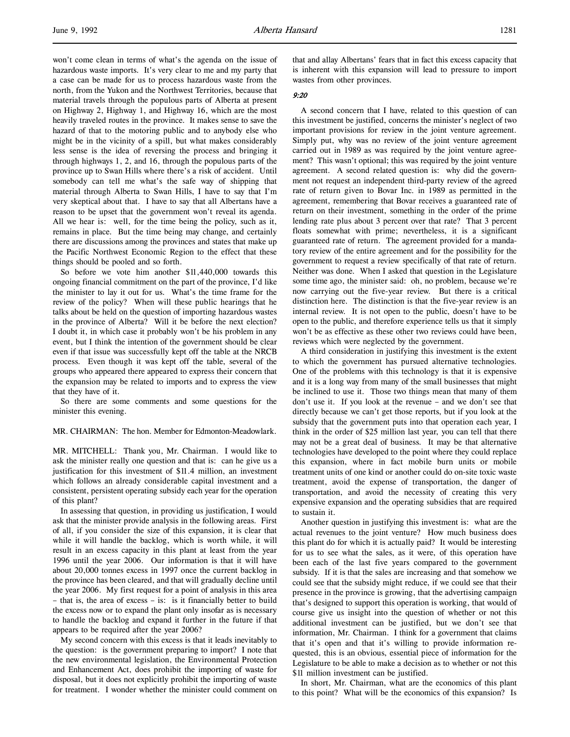won't come clean in terms of what's the agenda on the issue of hazardous waste imports. It's very clear to me and my party that a case can be made for us to process hazardous waste from the north, from the Yukon and the Northwest Territories, because that material travels through the populous parts of Alberta at present on Highway 2, Highway 1, and Highway 16, which are the most heavily traveled routes in the province. It makes sense to save the hazard of that to the motoring public and to anybody else who might be in the vicinity of a spill, but what makes considerably less sense is the idea of reversing the process and bringing it through highways 1, 2, and 16, through the populous parts of the province up to Swan Hills where there's a risk of accident. Until somebody can tell me what's the safe way of shipping that material through Alberta to Swan Hills, I have to say that I'm very skeptical about that. I have to say that all Albertans have a reason to be upset that the government won't reveal its agenda. All we hear is: well, for the time being the policy, such as it, remains in place. But the time being may change, and certainly there are discussions among the provinces and states that make up the Pacific Northwest Economic Region to the effect that these things should be pooled and so forth.

So before we vote him another \$11,440,000 towards this ongoing financial commitment on the part of the province, I'd like the minister to lay it out for us. What's the time frame for the review of the policy? When will these public hearings that he talks about be held on the question of importing hazardous wastes in the province of Alberta? Will it be before the next election? I doubt it, in which case it probably won't be his problem in any event, but I think the intention of the government should be clear even if that issue was successfully kept off the table at the NRCB process. Even though it was kept off the table, several of the groups who appeared there appeared to express their concern that the expansion may be related to imports and to express the view that they have of it.

So there are some comments and some questions for the minister this evening.

MR. CHAIRMAN: The hon. Member for Edmonton-Meadowlark.

MR. MITCHELL: Thank you, Mr. Chairman. I would like to ask the minister really one question and that is: can he give us a justification for this investment of \$11.4 million, an investment which follows an already considerable capital investment and a consistent, persistent operating subsidy each year for the operation of this plant?

In assessing that question, in providing us justification, I would ask that the minister provide analysis in the following areas. First of all, if you consider the size of this expansion, it is clear that while it will handle the backlog, which is worth while, it will result in an excess capacity in this plant at least from the year 1996 until the year 2006. Our information is that it will have about 20,000 tonnes excess in 1997 once the current backlog in the province has been cleared, and that will gradually decline until the year 2006. My first request for a point of analysis in this area – that is, the area of excess – is: is it financially better to build the excess now or to expand the plant only insofar as is necessary to handle the backlog and expand it further in the future if that appears to be required after the year 2006?

My second concern with this excess is that it leads inevitably to the question: is the government preparing to import? I note that the new environmental legislation, the Environmental Protection and Enhancement Act, does prohibit the importing of waste for disposal, but it does not explicitly prohibit the importing of waste for treatment. I wonder whether the minister could comment on

that and allay Albertans' fears that in fact this excess capacity that is inherent with this expansion will lead to pressure to import wastes from other provinces.

#### 9:20

A second concern that I have, related to this question of can this investment be justified, concerns the minister's neglect of two important provisions for review in the joint venture agreement. Simply put, why was no review of the joint venture agreement carried out in 1989 as was required by the joint venture agreement? This wasn't optional; this was required by the joint venture agreement. A second related question is: why did the government not request an independent third-party review of the agreed rate of return given to Bovar Inc. in 1989 as permitted in the agreement, remembering that Bovar receives a guaranteed rate of return on their investment, something in the order of the prime lending rate plus about 3 percent over that rate? That 3 percent floats somewhat with prime; nevertheless, it is a significant guaranteed rate of return. The agreement provided for a mandatory review of the entire agreement and for the possibility for the government to request a review specifically of that rate of return. Neither was done. When I asked that question in the Legislature some time ago, the minister said: oh, no problem, because we're now carrying out the five-year review. But there is a critical distinction here. The distinction is that the five-year review is an internal review. It is not open to the public, doesn't have to be open to the public, and therefore experience tells us that it simply won't be as effective as these other two reviews could have been, reviews which were neglected by the government.

A third consideration in justifying this investment is the extent to which the government has pursued alternative technologies. One of the problems with this technology is that it is expensive and it is a long way from many of the small businesses that might be inclined to use it. Those two things mean that many of them don't use it. If you look at the revenue – and we don't see that directly because we can't get those reports, but if you look at the subsidy that the government puts into that operation each year, I think in the order of \$25 million last year, you can tell that there may not be a great deal of business. It may be that alternative technologies have developed to the point where they could replace this expansion, where in fact mobile burn units or mobile treatment units of one kind or another could do on-site toxic waste treatment, avoid the expense of transportation, the danger of transportation, and avoid the necessity of creating this very expensive expansion and the operating subsidies that are required to sustain it.

Another question in justifying this investment is: what are the actual revenues to the joint venture? How much business does this plant do for which it is actually paid? It would be interesting for us to see what the sales, as it were, of this operation have been each of the last five years compared to the government subsidy. If it is that the sales are increasing and that somehow we could see that the subsidy might reduce, if we could see that their presence in the province is growing, that the advertising campaign that's designed to support this operation is working, that would of course give us insight into the question of whether or not this additional investment can be justified, but we don't see that information, Mr. Chairman. I think for a government that claims that it's open and that it's willing to provide information requested, this is an obvious, essential piece of information for the Legislature to be able to make a decision as to whether or not this \$11 million investment can be justified.

In short, Mr. Chairman, what are the economics of this plant to this point? What will be the economics of this expansion? Is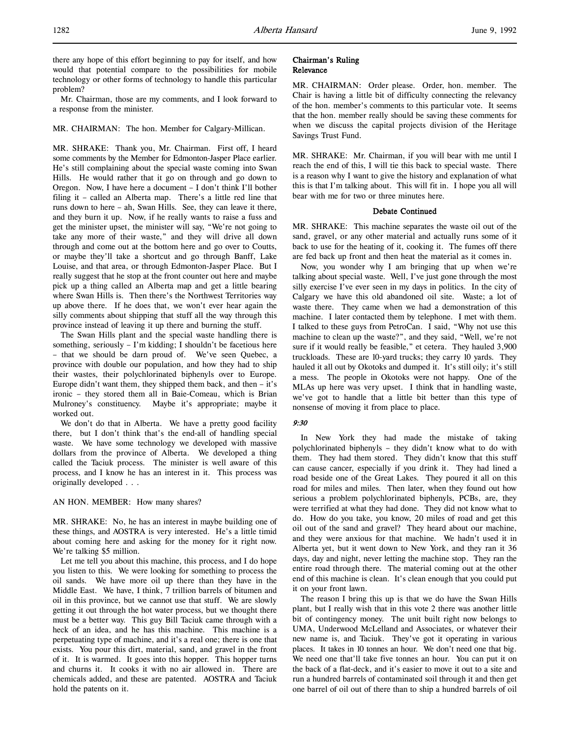there any hope of this effort beginning to pay for itself, and how would that potential compare to the possibilities for mobile technology or other forms of technology to handle this particular problem?

Mr. Chairman, those are my comments, and I look forward to a response from the minister.

MR. CHAIRMAN: The hon. Member for Calgary-Millican.

MR. SHRAKE: Thank you, Mr. Chairman. First off, I heard some comments by the Member for Edmonton-Jasper Place earlier. He's still complaining about the special waste coming into Swan Hills. He would rather that it go on through and go down to Oregon. Now, I have here a document – I don't think I'll bother filing it – called an Alberta map. There's a little red line that runs down to here – ah, Swan Hills. See, they can leave it there, and they burn it up. Now, if he really wants to raise a fuss and get the minister upset, the minister will say, "We're not going to take any more of their waste," and they will drive all down through and come out at the bottom here and go over to Coutts, or maybe they'll take a shortcut and go through Banff, Lake Louise, and that area, or through Edmonton-Jasper Place. But I really suggest that he stop at the front counter out here and maybe pick up a thing called an Alberta map and get a little bearing where Swan Hills is. Then there's the Northwest Territories way up above there. If he does that, we won't ever hear again the silly comments about shipping that stuff all the way through this province instead of leaving it up there and burning the stuff.

The Swan Hills plant and the special waste handling there is something, seriously – I'm kidding; I shouldn't be facetious here – that we should be darn proud of. We've seen Quebec, a province with double our population, and how they had to ship their wastes, their polychlorinated biphenyls over to Europe. Europe didn't want them, they shipped them back, and then – it's ironic – they stored them all in Baie-Comeau, which is Brian Mulroney's constituency. Maybe it's appropriate; maybe it worked out.

We don't do that in Alberta. We have a pretty good facility there, but I don't think that's the end-all of handling special waste. We have some technology we developed with massive dollars from the province of Alberta. We developed a thing called the Taciuk process. The minister is well aware of this process, and I know he has an interest in it. This process was originally developed . . .

AN HON. MEMBER: How many shares?

MR. SHRAKE: No, he has an interest in maybe building one of these things, and AOSTRA is very interested. He's a little timid about coming here and asking for the money for it right now. We're talking \$5 million.

Let me tell you about this machine, this process, and I do hope you listen to this. We were looking for something to process the oil sands. We have more oil up there than they have in the Middle East. We have, I think, 7 trillion barrels of bitumen and oil in this province, but we cannot use that stuff. We are slowly getting it out through the hot water process, but we thought there must be a better way. This guy Bill Taciuk came through with a heck of an idea, and he has this machine. This machine is a perpetuating type of machine, and it's a real one; there is one that exists. You pour this dirt, material, sand, and gravel in the front of it. It is warmed. It goes into this hopper. This hopper turns and churns it. It cooks it with no air allowed in. There are chemicals added, and these are patented. AOSTRA and Taciuk hold the patents on it.

### Chairman's Ruling Relevance

MR. CHAIRMAN: Order please. Order, hon. member. The Chair is having a little bit of difficulty connecting the relevancy of the hon. member's comments to this particular vote. It seems that the hon. member really should be saving these comments for when we discuss the capital projects division of the Heritage Savings Trust Fund.

MR. SHRAKE: Mr. Chairman, if you will bear with me until I reach the end of this, I will tie this back to special waste. There is a reason why I want to give the history and explanation of what this is that I'm talking about. This will fit in. I hope you all will bear with me for two or three minutes here.

### Debate Continued

MR. SHRAKE: This machine separates the waste oil out of the sand, gravel, or any other material and actually runs some of it back to use for the heating of it, cooking it. The fumes off there are fed back up front and then heat the material as it comes in.

Now, you wonder why I am bringing that up when we're talking about special waste. Well, I've just gone through the most silly exercise I've ever seen in my days in politics. In the city of Calgary we have this old abandoned oil site. Waste; a lot of waste there. They came when we had a demonstration of this machine. I later contacted them by telephone. I met with them. I talked to these guys from PetroCan. I said, "Why not use this machine to clean up the waste?", and they said, "Well, we're not sure if it would really be feasible," et cetera. They hauled 3,900 truckloads. These are 10-yard trucks; they carry 10 yards. They hauled it all out by Okotoks and dumped it. It's still oily; it's still a mess. The people in Okotoks were not happy. One of the MLAs up here was very upset. I think that in handling waste, we've got to handle that a little bit better than this type of nonsense of moving it from place to place.

#### 9:30

In New York they had made the mistake of taking polychlorinated biphenyls – they didn't know what to do with them. They had them stored. They didn't know that this stuff can cause cancer, especially if you drink it. They had lined a road beside one of the Great Lakes. They poured it all on this road for miles and miles. Then later, when they found out how serious a problem polychlorinated biphenyls, PCBs, are, they were terrified at what they had done. They did not know what to do. How do you take, you know, 20 miles of road and get this oil out of the sand and gravel? They heard about our machine, and they were anxious for that machine. We hadn't used it in Alberta yet, but it went down to New York, and they ran it 36 days, day and night, never letting the machine stop. They ran the entire road through there. The material coming out at the other end of this machine is clean. It's clean enough that you could put it on your front lawn.

The reason I bring this up is that we do have the Swan Hills plant, but I really wish that in this vote 2 there was another little bit of contingency money. The unit built right now belongs to UMA, Underwood McLelland and Associates, or whatever their new name is, and Taciuk. They've got it operating in various places. It takes in 10 tonnes an hour. We don't need one that big. We need one that'll take five tonnes an hour. You can put it on the back of a flat-deck, and it's easier to move it out to a site and run a hundred barrels of contaminated soil through it and then get one barrel of oil out of there than to ship a hundred barrels of oil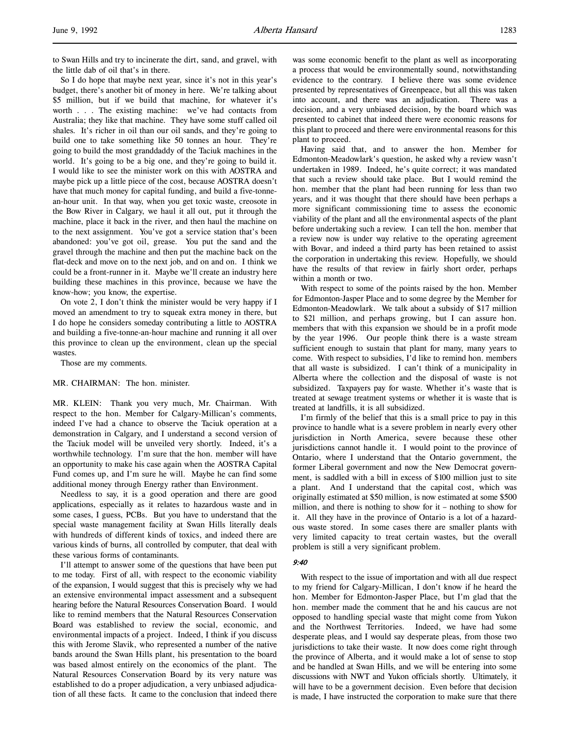to Swan Hills and try to incinerate the dirt, sand, and gravel, with the little dab of oil that's in there.

So I do hope that maybe next year, since it's not in this year's budget, there's another bit of money in here. We're talking about \$5 million, but if we build that machine, for whatever it's worth . . . The existing machine: we've had contacts from Australia; they like that machine. They have some stuff called oil shales. It's richer in oil than our oil sands, and they're going to build one to take something like 50 tonnes an hour. They're going to build the most granddaddy of the Taciuk machines in the world. It's going to be a big one, and they're going to build it. I would like to see the minister work on this with AOSTRA and maybe pick up a little piece of the cost, because AOSTRA doesn't have that much money for capital funding, and build a five-tonnean-hour unit. In that way, when you get toxic waste, creosote in the Bow River in Calgary, we haul it all out, put it through the machine, place it back in the river, and then haul the machine on to the next assignment. You've got a service station that's been abandoned: you've got oil, grease. You put the sand and the gravel through the machine and then put the machine back on the flat-deck and move on to the next job, and on and on. I think we could be a front-runner in it. Maybe we'll create an industry here building these machines in this province, because we have the know-how; you know, the expertise.

On vote 2, I don't think the minister would be very happy if I moved an amendment to try to squeak extra money in there, but I do hope he considers someday contributing a little to AOSTRA and building a five-tonne-an-hour machine and running it all over this province to clean up the environment, clean up the special wastes.

Those are my comments.

### MR. CHAIRMAN: The hon. minister.

MR. KLEIN: Thank you very much, Mr. Chairman. With respect to the hon. Member for Calgary-Millican's comments, indeed I've had a chance to observe the Taciuk operation at a demonstration in Calgary, and I understand a second version of the Taciuk model will be unveiled very shortly. Indeed, it's a worthwhile technology. I'm sure that the hon. member will have an opportunity to make his case again when the AOSTRA Capital Fund comes up, and I'm sure he will. Maybe he can find some additional money through Energy rather than Environment.

Needless to say, it is a good operation and there are good applications, especially as it relates to hazardous waste and in some cases, I guess, PCBs. But you have to understand that the special waste management facility at Swan Hills literally deals with hundreds of different kinds of toxics, and indeed there are various kinds of burns, all controlled by computer, that deal with these various forms of contaminants.

I'll attempt to answer some of the questions that have been put to me today. First of all, with respect to the economic viability of the expansion, I would suggest that this is precisely why we had an extensive environmental impact assessment and a subsequent hearing before the Natural Resources Conservation Board. I would like to remind members that the Natural Resources Conservation Board was established to review the social, economic, and environmental impacts of a project. Indeed, I think if you discuss this with Jerome Slavik, who represented a number of the native bands around the Swan Hills plant, his presentation to the board was based almost entirely on the economics of the plant. The Natural Resources Conservation Board by its very nature was established to do a proper adjudication, a very unbiased adjudication of all these facts. It came to the conclusion that indeed there

was some economic benefit to the plant as well as incorporating a process that would be environmentally sound, notwithstanding evidence to the contrary. I believe there was some evidence presented by representatives of Greenpeace, but all this was taken into account, and there was an adjudication. There was a decision, and a very unbiased decision, by the board which was presented to cabinet that indeed there were economic reasons for this plant to proceed and there were environmental reasons for this plant to proceed.

Having said that, and to answer the hon. Member for Edmonton-Meadowlark's question, he asked why a review wasn't undertaken in 1989. Indeed, he's quite correct; it was mandated that such a review should take place. But I would remind the hon. member that the plant had been running for less than two years, and it was thought that there should have been perhaps a more significant commissioning time to assess the economic viability of the plant and all the environmental aspects of the plant before undertaking such a review. I can tell the hon. member that a review now is under way relative to the operating agreement with Bovar, and indeed a third party has been retained to assist the corporation in undertaking this review. Hopefully, we should have the results of that review in fairly short order, perhaps within a month or two.

With respect to some of the points raised by the hon. Member for Edmonton-Jasper Place and to some degree by the Member for Edmonton-Meadowlark. We talk about a subsidy of \$17 million to \$21 million, and perhaps growing, but I can assure hon. members that with this expansion we should be in a profit mode by the year 1996. Our people think there is a waste stream sufficient enough to sustain that plant for many, many years to come. With respect to subsidies, I'd like to remind hon. members that all waste is subsidized. I can't think of a municipality in Alberta where the collection and the disposal of waste is not subsidized. Taxpayers pay for waste. Whether it's waste that is treated at sewage treatment systems or whether it is waste that is treated at landfills, it is all subsidized.

I'm firmly of the belief that this is a small price to pay in this province to handle what is a severe problem in nearly every other jurisdiction in North America, severe because these other jurisdictions cannot handle it. I would point to the province of Ontario, where I understand that the Ontario government, the former Liberal government and now the New Democrat government, is saddled with a bill in excess of \$100 million just to site a plant. And I understand that the capital cost, which was originally estimated at \$50 million, is now estimated at some \$500 million, and there is nothing to show for it – nothing to show for it. All they have in the province of Ontario is a lot of a hazardous waste stored. In some cases there are smaller plants with very limited capacity to treat certain wastes, but the overall problem is still a very significant problem.

#### 9:40

With respect to the issue of importation and with all due respect to my friend for Calgary-Millican, I don't know if he heard the hon. Member for Edmonton-Jasper Place, but I'm glad that the hon. member made the comment that he and his caucus are not opposed to handling special waste that might come from Yukon and the Northwest Territories. Indeed, we have had some desperate pleas, and I would say desperate pleas, from those two jurisdictions to take their waste. It now does come right through the province of Alberta, and it would make a lot of sense to stop and be handled at Swan Hills, and we will be entering into some discussions with NWT and Yukon officials shortly. Ultimately, it will have to be a government decision. Even before that decision is made, I have instructed the corporation to make sure that there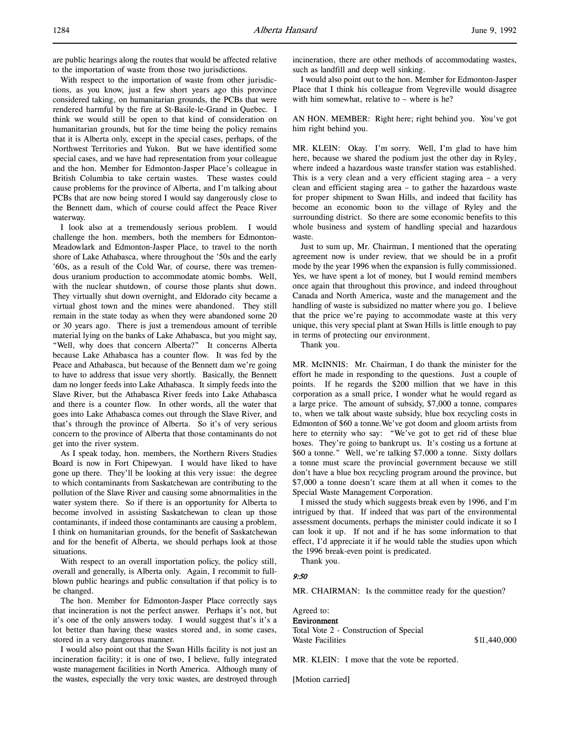are public hearings along the routes that would be affected relative to the importation of waste from those two jurisdictions.

With respect to the importation of waste from other jurisdictions, as you know, just a few short years ago this province considered taking, on humanitarian grounds, the PCBs that were rendered harmful by the fire at St-Basile-le-Grand in Quebec. I think we would still be open to that kind of consideration on humanitarian grounds, but for the time being the policy remains that it is Alberta only, except in the special cases, perhaps, of the Northwest Territories and Yukon. But we have identified some special cases, and we have had representation from your colleague and the hon. Member for Edmonton-Jasper Place's colleague in British Columbia to take certain wastes. These wastes could cause problems for the province of Alberta, and I'm talking about PCBs that are now being stored I would say dangerously close to the Bennett dam, which of course could affect the Peace River waterway.

I look also at a tremendously serious problem. I would challenge the hon. members, both the members for Edmonton-Meadowlark and Edmonton-Jasper Place, to travel to the north shore of Lake Athabasca, where throughout the '50s and the early '60s, as a result of the Cold War, of course, there was tremendous uranium production to accommodate atomic bombs. Well, with the nuclear shutdown, of course those plants shut down. They virtually shut down overnight, and Eldorado city became a virtual ghost town and the mines were abandoned. They still remain in the state today as when they were abandoned some 20 or 30 years ago. There is just a tremendous amount of terrible material lying on the banks of Lake Athabasca, but you might say, "Well, why does that concern Alberta?" It concerns Alberta because Lake Athabasca has a counter flow. It was fed by the Peace and Athabasca, but because of the Bennett dam we're going to have to address that issue very shortly. Basically, the Bennett dam no longer feeds into Lake Athabasca. It simply feeds into the Slave River, but the Athabasca River feeds into Lake Athabasca and there is a counter flow. In other words, all the water that goes into Lake Athabasca comes out through the Slave River, and that's through the province of Alberta. So it's of very serious concern to the province of Alberta that those contaminants do not get into the river system.

As I speak today, hon. members, the Northern Rivers Studies Board is now in Fort Chipewyan. I would have liked to have gone up there. They'll be looking at this very issue: the degree to which contaminants from Saskatchewan are contributing to the pollution of the Slave River and causing some abnormalities in the water system there. So if there is an opportunity for Alberta to become involved in assisting Saskatchewan to clean up those contaminants, if indeed those contaminants are causing a problem, I think on humanitarian grounds, for the benefit of Saskatchewan and for the benefit of Alberta, we should perhaps look at those situations.

With respect to an overall importation policy, the policy still, overall and generally, is Alberta only. Again, I recommit to fullblown public hearings and public consultation if that policy is to be changed.

The hon. Member for Edmonton-Jasper Place correctly says that incineration is not the perfect answer. Perhaps it's not, but it's one of the only answers today. I would suggest that's it's a lot better than having these wastes stored and, in some cases, stored in a very dangerous manner.

I would also point out that the Swan Hills facility is not just an incineration facility; it is one of two, I believe, fully integrated waste management facilities in North America. Although many of the wastes, especially the very toxic wastes, are destroyed through

incineration, there are other methods of accommodating wastes, such as landfill and deep well sinking.

I would also point out to the hon. Member for Edmonton-Jasper Place that I think his colleague from Vegreville would disagree with him somewhat, relative to – where is he?

AN HON. MEMBER: Right here; right behind you. You've got him right behind you.

MR. KLEIN: Okay. I'm sorry. Well, I'm glad to have him here, because we shared the podium just the other day in Ryley, where indeed a hazardous waste transfer station was established. This is a very clean and a very efficient staging area – a very clean and efficient staging area – to gather the hazardous waste for proper shipment to Swan Hills, and indeed that facility has become an economic boon to the village of Ryley and the surrounding district. So there are some economic benefits to this whole business and system of handling special and hazardous waste.

Just to sum up, Mr. Chairman, I mentioned that the operating agreement now is under review, that we should be in a profit mode by the year 1996 when the expansion is fully commissioned. Yes, we have spent a lot of money, but I would remind members once again that throughout this province, and indeed throughout Canada and North America, waste and the management and the handling of waste is subsidized no matter where you go. I believe that the price we're paying to accommodate waste at this very unique, this very special plant at Swan Hills is little enough to pay in terms of protecting our environment.

Thank you.

MR. McINNIS: Mr. Chairman, I do thank the minister for the effort he made in responding to the questions. Just a couple of points. If he regards the \$200 million that we have in this corporation as a small price, I wonder what he would regard as a large price. The amount of subsidy, \$7,000 a tonne, compares to, when we talk about waste subsidy, blue box recycling costs in Edmonton of \$60 a tonne.We've got doom and gloom artists from here to eternity who say: "We've got to get rid of these blue boxes. They're going to bankrupt us. It's costing us a fortune at \$60 a tonne." Well, we're talking \$7,000 a tonne. Sixty dollars a tonne must scare the provincial government because we still don't have a blue box recycling program around the province, but \$7,000 a tonne doesn't scare them at all when it comes to the Special Waste Management Corporation.

I missed the study which suggests break even by 1996, and I'm intrigued by that. If indeed that was part of the environmental assessment documents, perhaps the minister could indicate it so I can look it up. If not and if he has some information to that effect, I'd appreciate it if he would table the studies upon which the 1996 break-even point is predicated.

Thank you.

9:50

MR. CHAIRMAN: Is the committee ready for the question?

Agreed to:

### Environment

Total Vote 2 - Construction of Special Waste Facilities  $$11,440,000$ 

MR. KLEIN: I move that the vote be reported.

[Motion carried]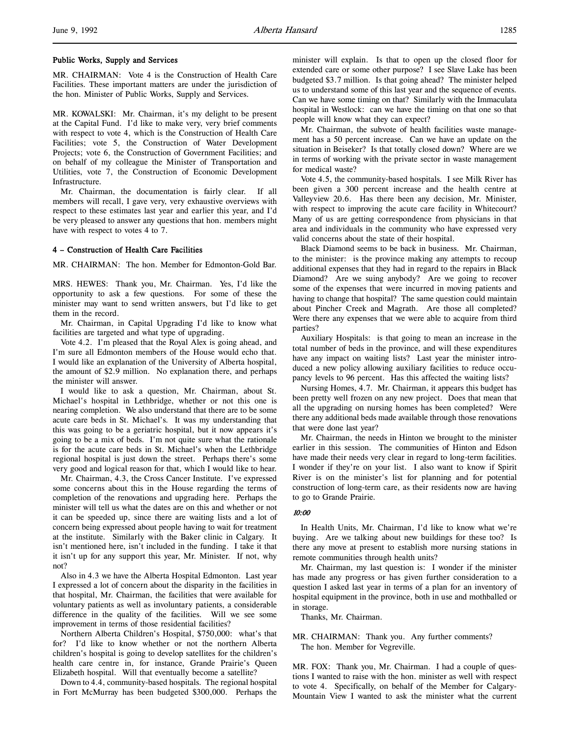#### Public Works, Supply and Services

MR. CHAIRMAN: Vote 4 is the Construction of Health Care Facilities. These important matters are under the jurisdiction of the hon. Minister of Public Works, Supply and Services.

MR. KOWALSKI: Mr. Chairman, it's my delight to be present at the Capital Fund. I'd like to make very, very brief comments with respect to vote 4, which is the Construction of Health Care Facilities; vote 5, the Construction of Water Development Projects; vote 6, the Construction of Government Facilities; and on behalf of my colleague the Minister of Transportation and Utilities, vote 7, the Construction of Economic Development Infrastructure.

Mr. Chairman, the documentation is fairly clear. If all members will recall, I gave very, very exhaustive overviews with respect to these estimates last year and earlier this year, and I'd be very pleased to answer any questions that hon. members might have with respect to votes 4 to 7.

## 4 – Construction of Health Care Facilities

MR. CHAIRMAN: The hon. Member for Edmonton-Gold Bar.

MRS. HEWES: Thank you, Mr. Chairman. Yes, I'd like the opportunity to ask a few questions. For some of these the minister may want to send written answers, but I'd like to get them in the record.

Mr. Chairman, in Capital Upgrading I'd like to know what facilities are targeted and what type of upgrading.

Vote 4.2. I'm pleased that the Royal Alex is going ahead, and I'm sure all Edmonton members of the House would echo that. I would like an explanation of the University of Alberta hospital, the amount of \$2.9 million. No explanation there, and perhaps the minister will answer.

I would like to ask a question, Mr. Chairman, about St. Michael's hospital in Lethbridge, whether or not this one is nearing completion. We also understand that there are to be some acute care beds in St. Michael's. It was my understanding that this was going to be a geriatric hospital, but it now appears it's going to be a mix of beds. I'm not quite sure what the rationale is for the acute care beds in St. Michael's when the Lethbridge regional hospital is just down the street. Perhaps there's some very good and logical reason for that, which I would like to hear.

Mr. Chairman, 4.3, the Cross Cancer Institute. I've expressed some concerns about this in the House regarding the terms of completion of the renovations and upgrading here. Perhaps the minister will tell us what the dates are on this and whether or not it can be speeded up, since there are waiting lists and a lot of concern being expressed about people having to wait for treatment at the institute. Similarly with the Baker clinic in Calgary. It isn't mentioned here, isn't included in the funding. I take it that it isn't up for any support this year, Mr. Minister. If not, why not?

Also in 4.3 we have the Alberta Hospital Edmonton. Last year I expressed a lot of concern about the disparity in the facilities in that hospital, Mr. Chairman, the facilities that were available for voluntary patients as well as involuntary patients, a considerable difference in the quality of the facilities. Will we see some improvement in terms of those residential facilities?

Northern Alberta Children's Hospital, \$750,000: what's that for? I'd like to know whether or not the northern Alberta children's hospital is going to develop satellites for the children's health care centre in, for instance, Grande Prairie's Queen Elizabeth hospital. Will that eventually become a satellite?

Down to 4.4, community-based hospitals. The regional hospital in Fort McMurray has been budgeted \$300,000. Perhaps the minister will explain. Is that to open up the closed floor for extended care or some other purpose? I see Slave Lake has been budgeted \$3.7 million. Is that going ahead? The minister helped us to understand some of this last year and the sequence of events. Can we have some timing on that? Similarly with the Immaculata hospital in Westlock: can we have the timing on that one so that people will know what they can expect?

Mr. Chairman, the subvote of health facilities waste management has a 50 percent increase. Can we have an update on the situation in Beiseker? Is that totally closed down? Where are we in terms of working with the private sector in waste management for medical waste?

Vote 4.5, the community-based hospitals. I see Milk River has been given a 300 percent increase and the health centre at Valleyview 20.6. Has there been any decision, Mr. Minister, with respect to improving the acute care facility in Whitecourt? Many of us are getting correspondence from physicians in that area and individuals in the community who have expressed very valid concerns about the state of their hospital.

Black Diamond seems to be back in business. Mr. Chairman, to the minister: is the province making any attempts to recoup additional expenses that they had in regard to the repairs in Black Diamond? Are we suing anybody? Are we going to recover some of the expenses that were incurred in moving patients and having to change that hospital? The same question could maintain about Pincher Creek and Magrath. Are those all completed? Were there any expenses that we were able to acquire from third parties?

Auxiliary Hospitals: is that going to mean an increase in the total number of beds in the province, and will these expenditures have any impact on waiting lists? Last year the minister introduced a new policy allowing auxiliary facilities to reduce occupancy levels to 96 percent. Has this affected the waiting lists?

Nursing Homes, 4.7. Mr. Chairman, it appears this budget has been pretty well frozen on any new project. Does that mean that all the upgrading on nursing homes has been completed? Were there any additional beds made available through those renovations that were done last year?

Mr. Chairman, the needs in Hinton we brought to the minister earlier in this session. The communities of Hinton and Edson have made their needs very clear in regard to long-term facilities. I wonder if they're on your list. I also want to know if Spirit River is on the minister's list for planning and for potential construction of long-term care, as their residents now are having to go to Grande Prairie.

#### 10:00

In Health Units, Mr. Chairman, I'd like to know what we're buying. Are we talking about new buildings for these too? Is there any move at present to establish more nursing stations in remote communities through health units?

Mr. Chairman, my last question is: I wonder if the minister has made any progress or has given further consideration to a question I asked last year in terms of a plan for an inventory of hospital equipment in the province, both in use and mothballed or in storage.

Thanks, Mr. Chairman.

MR. CHAIRMAN: Thank you. Any further comments? The hon. Member for Vegreville.

MR. FOX: Thank you, Mr. Chairman. I had a couple of questions I wanted to raise with the hon. minister as well with respect to vote 4. Specifically, on behalf of the Member for Calgary-Mountain View I wanted to ask the minister what the current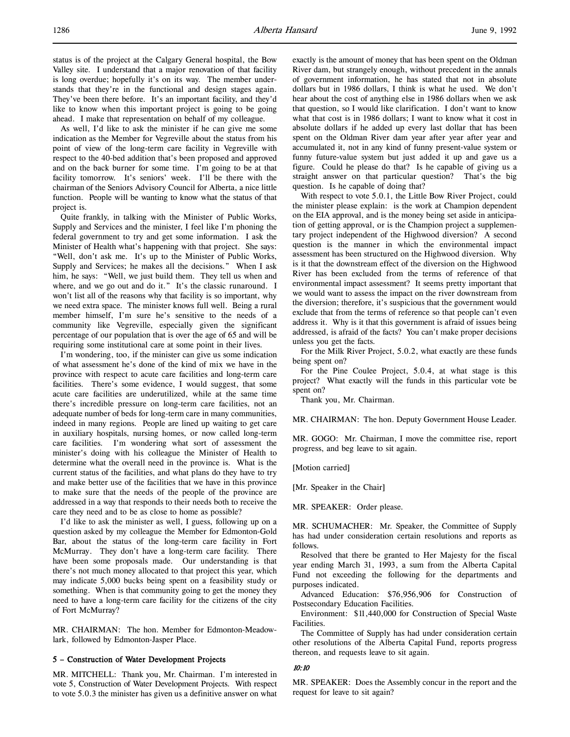status is of the project at the Calgary General hospital, the Bow Valley site. I understand that a major renovation of that facility is long overdue; hopefully it's on its way. The member understands that they're in the functional and design stages again. They've been there before. It's an important facility, and they'd like to know when this important project is going to be going ahead. I make that representation on behalf of my colleague.

As well, I'd like to ask the minister if he can give me some indication as the Member for Vegreville about the status from his point of view of the long-term care facility in Vegreville with respect to the 40-bed addition that's been proposed and approved and on the back burner for some time. I'm going to be at that facility tomorrow. It's seniors' week. I'll be there with the chairman of the Seniors Advisory Council for Alberta, a nice little function. People will be wanting to know what the status of that project is.

Quite frankly, in talking with the Minister of Public Works, Supply and Services and the minister, I feel like I'm phoning the federal government to try and get some information. I ask the Minister of Health what's happening with that project. She says: "Well, don't ask me. It's up to the Minister of Public Works, Supply and Services; he makes all the decisions." When I ask him, he says: "Well, we just build them. They tell us when and where, and we go out and do it." It's the classic runaround. I won't list all of the reasons why that facility is so important, why we need extra space. The minister knows full well. Being a rural member himself, I'm sure he's sensitive to the needs of a community like Vegreville, especially given the significant percentage of our population that is over the age of 65 and will be requiring some institutional care at some point in their lives.

I'm wondering, too, if the minister can give us some indication of what assessment he's done of the kind of mix we have in the province with respect to acute care facilities and long-term care facilities. There's some evidence, I would suggest, that some acute care facilities are underutilized, while at the same time there's incredible pressure on long-term care facilities, not an adequate number of beds for long-term care in many communities, indeed in many regions. People are lined up waiting to get care in auxiliary hospitals, nursing homes, or now called long-term care facilities. I'm wondering what sort of assessment the minister's doing with his colleague the Minister of Health to determine what the overall need in the province is. What is the current status of the facilities, and what plans do they have to try and make better use of the facilities that we have in this province to make sure that the needs of the people of the province are addressed in a way that responds to their needs both to receive the care they need and to be as close to home as possible?

I'd like to ask the minister as well, I guess, following up on a question asked by my colleague the Member for Edmonton-Gold Bar, about the status of the long-term care facility in Fort McMurray. They don't have a long-term care facility. There have been some proposals made. Our understanding is that there's not much money allocated to that project this year, which may indicate 5,000 bucks being spent on a feasibility study or something. When is that community going to get the money they need to have a long-term care facility for the citizens of the city of Fort McMurray?

MR. CHAIRMAN: The hon. Member for Edmonton-Meadowlark, followed by Edmonton-Jasper Place.

### 5 – Construction of Water Development Projects

MR. MITCHELL: Thank you, Mr. Chairman. I'm interested in vote 5, Construction of Water Development Projects. With respect to vote 5.0.3 the minister has given us a definitive answer on what exactly is the amount of money that has been spent on the Oldman River dam, but strangely enough, without precedent in the annals of government information, he has stated that not in absolute dollars but in 1986 dollars, I think is what he used. We don't hear about the cost of anything else in 1986 dollars when we ask that question, so I would like clarification. I don't want to know what that cost is in 1986 dollars; I want to know what it cost in absolute dollars if he added up every last dollar that has been spent on the Oldman River dam year after year after year and accumulated it, not in any kind of funny present-value system or funny future-value system but just added it up and gave us a figure. Could he please do that? Is he capable of giving us a straight answer on that particular question? That's the big question. Is he capable of doing that?

With respect to vote 5.0.1, the Little Bow River Project, could the minister please explain: is the work at Champion dependent on the EIA approval, and is the money being set aside in anticipation of getting approval, or is the Champion project a supplementary project independent of the Highwood diversion? A second question is the manner in which the environmental impact assessment has been structured on the Highwood diversion. Why is it that the downstream effect of the diversion on the Highwood River has been excluded from the terms of reference of that environmental impact assessment? It seems pretty important that we would want to assess the impact on the river downstream from the diversion; therefore, it's suspicious that the government would exclude that from the terms of reference so that people can't even address it. Why is it that this government is afraid of issues being addressed, is afraid of the facts? You can't make proper decisions unless you get the facts.

For the Milk River Project, 5.0.2, what exactly are these funds being spent on?

For the Pine Coulee Project, 5.0.4, at what stage is this project? What exactly will the funds in this particular vote be spent on?

Thank you, Mr. Chairman.

MR. CHAIRMAN: The hon. Deputy Government House Leader.

MR. GOGO: Mr. Chairman, I move the committee rise, report progress, and beg leave to sit again.

[Motion carried]

[Mr. Speaker in the Chair]

MR. SPEAKER: Order please.

MR. SCHUMACHER: Mr. Speaker, the Committee of Supply has had under consideration certain resolutions and reports as follows.

Resolved that there be granted to Her Majesty for the fiscal year ending March 31, 1993, a sum from the Alberta Capital Fund not exceeding the following for the departments and purposes indicated.

Advanced Education: \$76,956,906 for Construction of Postsecondary Education Facilities.

Environment: \$11,440,000 for Construction of Special Waste Facilities.

The Committee of Supply has had under consideration certain other resolutions of the Alberta Capital Fund, reports progress thereon, and requests leave to sit again.

#### 10:10

MR. SPEAKER: Does the Assembly concur in the report and the request for leave to sit again?